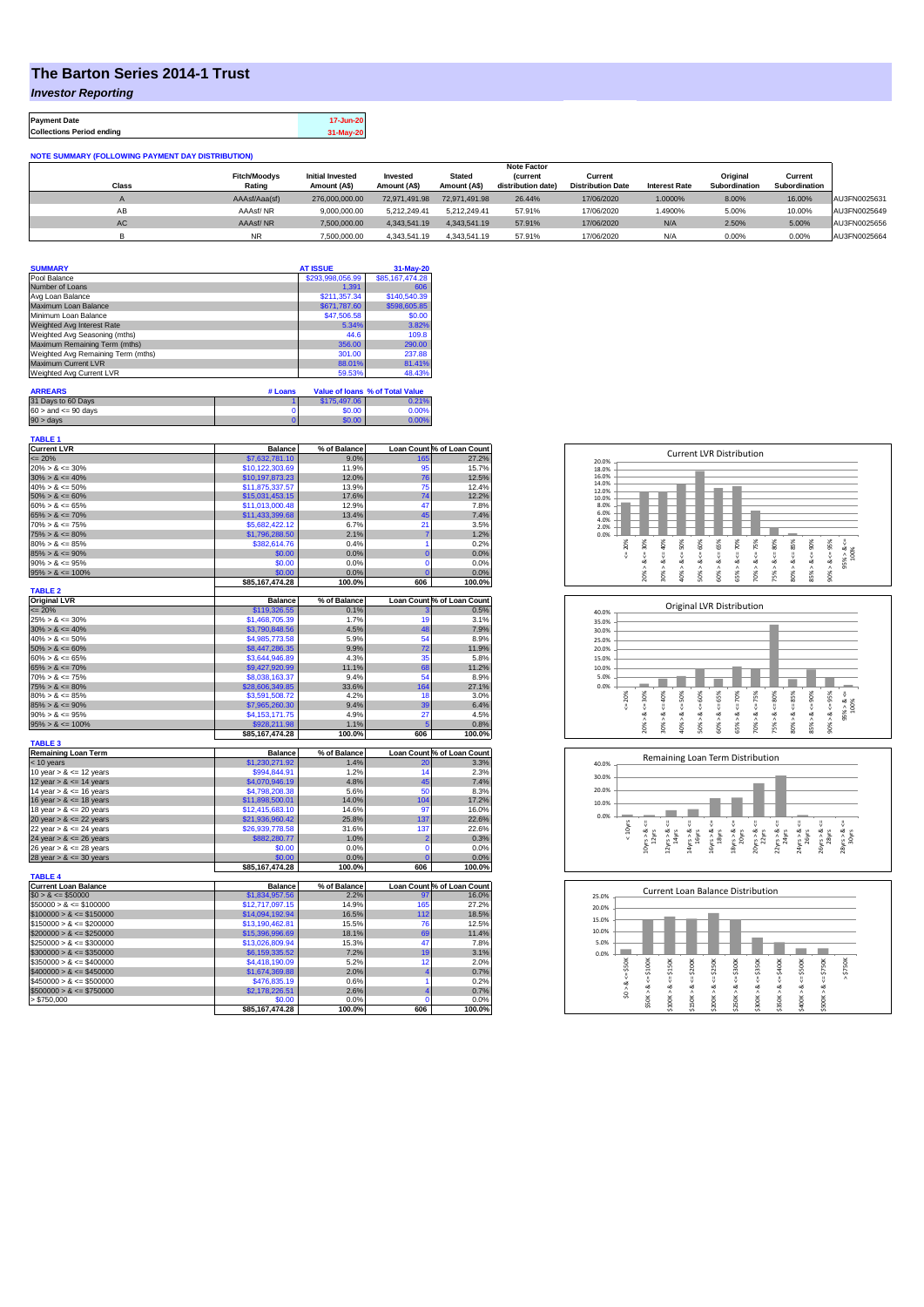## **The Barton Series 2014-1 Trust**

*Investor Reporting*

**Payment Date 17-Jun-20 Collections Period ending 31-May-20**

| <b>NOTE SUMMARY (FOLLOWING PAYMENT DAY DISTRIBUTION)</b> |                               |                                         |                          |                               |                                       |                                     |                      |                           |                          |              |
|----------------------------------------------------------|-------------------------------|-----------------------------------------|--------------------------|-------------------------------|---------------------------------------|-------------------------------------|----------------------|---------------------------|--------------------------|--------------|
|                                                          | <b>Note Factor</b>            |                                         |                          |                               |                                       |                                     |                      |                           |                          |              |
| <b>Class</b>                                             | <b>Fitch/Moodys</b><br>Rating | <b>Initial Invested</b><br>Amount (A\$) | Invested<br>Amount (A\$) | <b>Stated</b><br>Amount (A\$) | <b>(current</b><br>distribution date) | Current<br><b>Distribution Date</b> | <b>Interest Rate</b> | Original<br>Subordination | Current<br>Subordination |              |
|                                                          |                               |                                         |                          |                               |                                       |                                     |                      |                           |                          |              |
|                                                          | AAAsf/Aaa(sf)                 | 276,000,000,00                          | 72.971.491.98            | 72.971.491.98                 | 26.44%                                | 17/06/2020                          | 1.0000%              | 8.00%                     | 16.00%                   | AU3FN0025631 |
| AB                                                       | AAAsf/NR                      | 9.000.000.00                            | 5.212.249.41             | 5.212.249.41                  | 57.91%                                | 17/06/2020                          | .4900%               | 5.00%                     | 10.00%                   | AU3FN0025649 |
| AC                                                       | AAAsf/NR                      | 7.500.000.00                            | 4.343.541.19             | 4.343.541.19                  | 57.91%                                | 17/06/2020                          | N/A                  | 2.50%                     | 5.00%                    | AU3FN0025656 |
|                                                          | NR.                           | 7.500.000.00                            | 4.343.541.19             | 4.343.541.19                  | 57.91%                                | 17/06/2020                          | N/A                  | 0.00%                     | 0.00%                    | AU3FN0025664 |

| <b>SUMMARY</b>                     | <b>AT ISSUE</b>  | 31-May-20       |
|------------------------------------|------------------|-----------------|
| Pool Balance                       | \$293,998,056.99 | \$85,167,474.28 |
| Number of Loans                    | 1.391            | 606             |
| Avg Loan Balance                   | \$211,357.34     | \$140,540.39    |
| Maximum Loan Balance               | \$671,787.60     | \$598,605.85    |
| Minimum Loan Balance               | \$47,506.58      | \$0.00          |
| Weighted Avg Interest Rate         | 5.34%            | 3.82%           |
| Weighted Avg Seasoning (mths)      | 44.6             | 109.8           |
| Maximum Remaining Term (mths)      | 356.00           | 290.00          |
| Weighted Avg Remaining Term (mths) | 301.00           | 237.88          |
| Maximum Current LVR                | 88.01%           | 81.41%          |
| Weighted Avg Current LVR           | 59.53%           | 48.43%          |

| <b>ARREARS</b>            | # LUAIN |              | <b>Value Of IOAIIS 70 OF FOLAI VAIUE</b> |
|---------------------------|---------|--------------|------------------------------------------|
| 31 Days to 60 Days        |         | \$175,497.06 | 0.21%                                    |
| $60 >$ and $\leq 90$ days |         | \$0.00       | 0.00%                                    |
| 90 > davs                 |         | \$0.00       | 0.00%                                    |

| TABLE 1                     |                 |              |                         |                            |
|-----------------------------|-----------------|--------------|-------------------------|----------------------------|
| <b>Current LVR</b>          | <b>Balance</b>  | % of Balance |                         | Loan Count % of Loan Count |
| $= 20%$                     | \$7,632,781.10  | 9.0%         | 165                     | 27.2%                      |
| $20\% > 8 \le 30\%$         | \$10,122,303.69 | 11.9%        | 95                      | 15.7%                      |
| $30\% > 8 \le 40\%$         | \$10,197,873.23 | 12.0%        | 76                      | 12.5%                      |
| $40\% > 8 \le 50\%$         | \$11,875,337.57 | 13.9%        | 75                      | 12.4%                      |
| $50\% > 8 \le 60\%$         | \$15,031,453.15 | 17.6%        | 74                      | 12.2%                      |
| $60\% > 8 \le 65\%$         | \$11,013,000.48 | 12.9%        | 47                      | 7.8%                       |
| $65\% > 8 \le 70\%$         | \$11,433,399.68 | 13.4%        | 45                      | 7.4%                       |
| $70\% > 8 \le 75\%$         | \$5,682,422.12  | 6.7%         | 21                      | 3.5%                       |
| $75\% > 8 \le 80\%$         | \$1,796,288.50  | 2.1%         | $\overline{7}$          | 1.2%                       |
| $80\% > 8 \le 85\%$         | \$382,614.76    | 0.4%         | 1                       | 0.2%                       |
| $85\% > 8 \le 90\%$         | \$0.00          | 0.0%         | $\overline{0}$          | 0.0%                       |
|                             |                 |              | $\overline{0}$          |                            |
| $90\% > 8 \le 95\%$         | \$0.00          | 0.0%         |                         | 0.0%                       |
| $95\% > 8 \le 100\%$        | \$0.00          | 0.0%         | $\overline{0}$          | 0.0%                       |
|                             | \$85,167,474.28 | 100.0%       | 606                     | 100.0%                     |
| <b>TABLE 2</b>              |                 |              |                         |                            |
| <b>Original LVR</b>         | <b>Balance</b>  | % of Balance |                         | Loan Count % of Loan Count |
| $= 20%$                     | \$119,326.55    | 0.1%         |                         | 0.5%                       |
| $25\% > 8 \le 30\%$         | \$1,468,705.39  | 1.7%         | 19                      | 3.1%                       |
| $30\% > 8 \le 40\%$         | \$3,790,848.56  | 4.5%         | 48                      | 7.9%                       |
| $40\% > 8 \le 50\%$         | \$4,985,773.58  | 5.9%         | 54                      | 8.9%                       |
| $50\% > 8 \le 60\%$         | \$8,447,286.35  | 9.9%         | 72                      | 11.9%                      |
| $60\% > 8 \le 65\%$         | \$3,644,946.89  | 4.3%         | 35                      | 5.8%                       |
| $65\% > 8 \le 70\%$         | \$9,427,920.99  | 11.1%        | 68                      | 11.2%                      |
| $70\% > 8 \le 75\%$         | \$8,038,163.37  | 9.4%         | 54                      | 8.9%                       |
| $75\% > 8 \le 80\%$         | \$28,606,349.85 | 33.6%        | 164                     | 27.1%                      |
| $80\% > 8 \le 85\%$         | \$3,591,508.72  | 4.2%         | 18                      | 3.0%                       |
| $85\% > 8 \le 90\%$         | \$7,965,260.30  | 9.4%         | 39                      | 6.4%                       |
| $90\% > 8 \le 95\%$         | \$4,153,171.75  | 4.9%         | 27                      | 4.5%                       |
|                             |                 |              |                         |                            |
|                             |                 |              |                         |                            |
| $95\% > 8 \le 100\%$        | \$928,211.98    | 1.1%         | 5                       | 0.8%                       |
|                             | \$85,167,474.28 | 100.0%       | 606                     | 100.0%                     |
| <b>TABLE 3</b>              |                 |              |                         |                            |
| <b>Remaining Loan Term</b>  | <b>Balance</b>  | % of Balance |                         | Loan Count % of Loan Count |
| $<$ 10 years                | \$1,230,271.92  | 1.4%         | 20                      | 3.3%                       |
| 10 year $> 8 \le 12$ years  | \$994,844.91    | 1.2%         | 14                      | 2.3%                       |
| 12 year $> 8 \le 14$ years  | \$4,070,946.19  | 4.8%         | 45                      | 7.4%                       |
| 14 year $> 8 \le 16$ years  | \$4,798,208.38  | 5.6%         | 50                      | 8.3%                       |
| 16 year $> 8 \le 18$ years  | \$11,898,500.01 | 14.0%        | 104                     | 17.2%                      |
| 18 year $> 8 \le 20$ years  | \$12,415,683.10 | 14.6%        | 97                      | 16.0%                      |
| 20 year $> 8 \le 22$ years  | \$21,936,960.42 | 25.8%        | 137                     | 22.6%                      |
| 22 year $> 8 \le 24$ years  | \$26,939,778.58 | 31.6%        | 137                     | 22.6%                      |
| 24 year $> 8 \le 26$ years  | \$882,280.77    | 1.0%         | $\overline{2}$          | 0.3%                       |
| 26 year $> 8 \le 28$ years  | \$0.00          | 0.0%         | $\mathbf 0$             | 0.0%                       |
| 28 year $> 8 \le 30$ years  | \$0.00          | 0.0%         | $\overline{0}$          | 0.0%                       |
|                             | \$85,167,474.28 |              | 606                     | 100.0%                     |
|                             |                 | 100.0%       |                         |                            |
| <b>TABLE 4</b>              |                 |              |                         |                            |
| <b>Current Loan Balance</b> | <b>Balance</b>  | % of Balance |                         | Loan Count % of Loan Count |
| $$0 > 8 \le $50000$         | \$1,834,957.56  | 2.2%         | 97                      | 16.0%                      |
| $$50000 > 8 \le $100000$    | \$12,717,097.15 | 14.9%        | 165                     | 27.2%                      |
| $$100000 > 8 \le $150000$   | \$14,094,192.94 | 16.5%        | 112                     | 18.5%                      |
| $$150000 > 8 \le $200000$   | \$13,190,462.81 | 15.5%        | 76                      | 12.5%                      |
| $$200000 > 8 \leq $250000$  | \$15,396,996.69 | 18.1%        | 69                      | 11.4%                      |
| $$250000 > 8 \leq $300000$  | \$13,026,809.94 | 15.3%        | 47                      | 7.8%                       |
| $$300000 > 8 \leq $350000$  | \$6,159,335.52  | 7.2%         | 19                      | 3.1%                       |
| $$350000 > 8 \le $400000$   | \$4,418,190.09  | 5.2%         | 12                      | 2.0%                       |
| $$400000 > 8 \leq $450000$  | \$1,674,369.88  | 2.0%         | $\overline{\mathbf{4}}$ | 0.7%                       |
| $$450000 > 8 \leq $500000$  | \$476,835.19    | 0.6%         | 1                       | 0.2%                       |
| $$500000 > 8 \leq $750000$  | \$2,178,226.51  | 2.6%         | 4                       | 0.7%                       |
| > \$750,000                 | \$0.00          | 0.0%         | $\Omega$                | 0.0%                       |







| 25.0% |            |        | Current Loan Balance Distribution |         |         |         |         |         |        |         |          |  |
|-------|------------|--------|-----------------------------------|---------|---------|---------|---------|---------|--------|---------|----------|--|
| 20.0% |            |        |                                   |         |         |         |         |         |        |         |          |  |
| 15.0% |            |        |                                   |         |         |         |         |         |        |         |          |  |
| 10.0% |            |        |                                   |         |         |         |         |         |        |         |          |  |
| 5.0%  |            |        |                                   |         |         |         |         |         |        |         |          |  |
| 0.0%  |            |        |                                   |         |         |         |         |         |        |         |          |  |
|       | \$50K      | \$100K | \$150K                            | \$200K  | \$250K  | \$300K  | \$350K  | \$400K  | \$500K | \$750K  | \$750K   |  |
|       |            | ₩      |                                   | IJ      |         | J       |         |         |        |         | $\wedge$ |  |
|       | ∞          | જં     | œ                                 | œ       | œ       | œ       | œ       | œ       | œ      | œ       |          |  |
|       | $\hat{50}$ | \$50K> |                                   |         |         |         |         |         | ۸      |         |          |  |
|       |            |        | \$100K>                           | \$150K> | \$200K> | \$250K> | \$300K> | \$350K> | \$400K | \$500K> |          |  |